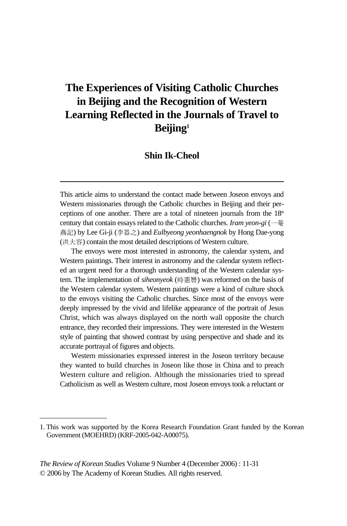# **The Experiences of Visiting Catholic Churches in Beijing and the Recognition of Western Learning Reflected in the Journals of Travel to Beijing1**

### **Shin Ik-Cheol**

This article aims to understand the contact made between Joseon envoys and Western missionaries through the Catholic churches in Beijing and their perceptions of one another. There are a total of nineteen journals from the  $18<sup>th</sup>$ century that contain essays related to the Catholic churches. *Iram yeon-gi* (一菴 燕記) by Lee Gi-ji (�器之) and *Eulbyeong yeonhaengnok* by Hong Dae-yong (洪大容) contain the most detailed descriptions of Western culture.

The envoys were most interested in astronomy, the calendar system, and Western paintings. Their interest in astronomy and the calendar system reflected an urgent need for a thorough understanding of the Western calendar system. The implementation of *siheonyeok* (時憲曆) was reformed on the basis of the Western calendar system. Western paintings were a kind of culture shock to the envoys visiting the Catholic churches. Since most of the envoys were deeply impressed by the vivid and lifelike appearance of the portrait of Jesus Christ, which was always displayed on the north wall opposite the church entrance, they recorded their impressions. They were interested in the Western style of painting that showed contrast by using perspective and shade and its accurate portrayal of figures and objects.

Western missionaries expressed interest in the Joseon territory because they wanted to build churches in Joseon like those in China and to preach Western culture and religion. Although the missionaries tried to spread Catholicism as well as Western culture, most Joseon envoys took a reluctant or

*The Review of Korean Studies* Volume 9 Number 4 (December 2006) : 11-31 © 2006 by The Academy of Korean Studies. All rights reserved.

<sup>1.</sup> This work was supported by the Korea Research Foundation Grant funded by the Korean Government (MOEHRD) (KRF-2005-042-A00075).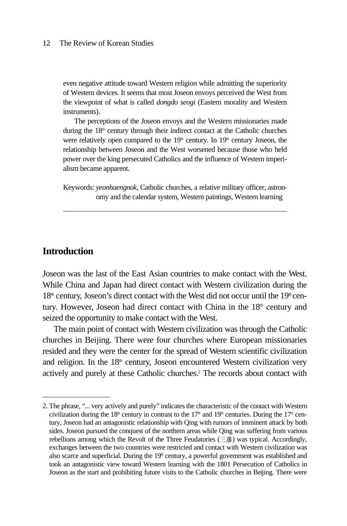even negative attitude toward Western religion while admitting the superiority of Western devices. It seems that most Joseon envoys perceived the West from the viewpoint of what is called *dongdo seogi* (Eastern morality and Western instruments).

The perceptions of the Joseon envoys and the Western missionaries made during the 18<sup>th</sup> century through their indirect contact at the Catholic churches were relatively open compared to the 19<sup>th</sup> century. In 19<sup>th</sup> century Joseon, the relationship between Joseon and the West worsened because those who held power over the king persecuted Catholics and the influence of Western imperialism became apparent.

Keywords: *yeonhaengnok*, Catholic churches, a relative military officer, astronomy and the calendar system, Western paintings, Western learning

### **Introduction**

Joseon was the last of the East Asian countries to make contact with the West. While China and Japan had direct contact with Western civilization during the  $18<sup>th</sup>$  century, Joseon's direct contact with the West did not occur until the  $19<sup>th</sup>$  century. However, Joseon had direct contact with China in the  $18<sup>th</sup>$  century and seized the opportunity to make contact with the West.

The main point of contact with Western civilization was through the Catholic churches in Beijing. There were four churches where European missionaries resided and they were the center for the spread of Western scientific civilization and religion. In the  $18<sup>th</sup>$  century, Joseon encountered Western civilization very actively and purely at these Catholic churches.<sup>2</sup> The records about contact with

<sup>2.</sup> The phrase, "... very actively and purely" indicates the characteristic of the contact with Western civilization during the 18<sup>th</sup> century in contrast to the 17<sup>th</sup> and 19<sup>th</sup> centuries. During the 17<sup>th</sup> century, Joseon had an antagonistic relationship with Qing with rumors of imminent attack by both sides. Joseon pursued the conquest of the northern areas while Qing was suffering from various rebellions among which the Revolt of the Three Feudatories ( $\equiv$ 藩) was typical. Accordingly, exchanges between the two countries were restricted and contact with Western civilization was also scarce and superficial. During the  $19<sup>th</sup>$  century, a powerful government was established and took an antagonistic view toward Western learning with the 1801 Persecution of Catholics in Joseon as the start and prohibiting future visits to the Catholic churches in Beijing. There were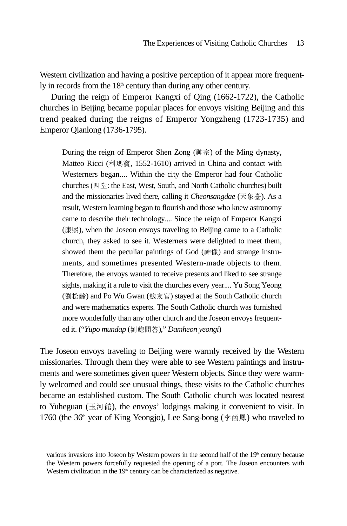Western civilization and having a positive perception of it appear more frequently in records from the  $18<sup>th</sup>$  century than during any other century.

During the reign of Emperor Kangxi of Qing (1662-1722), the Catholic churches in Beijing became popular places for envoys visiting Beijing and this trend peaked during the reigns of Emperor Yongzheng (1723-1735) and Emperor Qianlong (1736-1795).

During the reign of Emperor Shen Zong (神宗) of the Ming dynasty, Matteo Ricci (利瑪竇, 1552-1610) arrived in China and contact with Westerners began.... Within the city the Emperor had four Catholic churches (四堂: the East, West, South, and North Catholic churches) built and the missionaries lived there, calling it *Cheonsangdae* (天象臺). As a result, Western learning began to flourish and those who knew astronomy came to describe their technology.... Since the reign of Emperor Kangxi (康熙), when the Joseon envoys traveling to Beijing came to a Catholic church, they asked to see it. Westerners were delighted to meet them, showed them the peculiar paintings of God (神像) and strange instruments, and sometimes presented Western-made objects to them. Therefore, the envoys wanted to receive presents and liked to see strange sights, making it a rule to visit the churches every year.... Yu Song Yeong (�松齡) and Po Wu Gwan (鮑友官) stayed at the South Catholic church and were mathematics experts. The South Catholic church was furnished more wonderfully than any other church and the Joseon envoys frequented it. ("*Yupo mundap* (劉鮑問答)," *Damheon yeongi*)

The Joseon envoys traveling to Beijing were warmly received by the Western missionaries. Through them they were able to see Western paintings and instruments and were sometimes given queer Western objects. Since they were warmly welcomed and could see unusual things, these visits to the Catholic churches became an established custom. The South Catholic church was located nearest to Yuheguan (玉河館), the envoys' lodgings making it convenient to visit. In 1760 (the 36<sup>th</sup> year of King Yeongjo), Lee Sang-bong ( $\tilde{\phi}$   $\tilde{m}$  ang) who traveled to

various invasions into Joseon by Western powers in the second half of the 19<sup>th</sup> century because the Western powers forcefully requested the opening of a port. The Joseon encounters with Western civilization in the 19<sup>th</sup> century can be characterized as negative.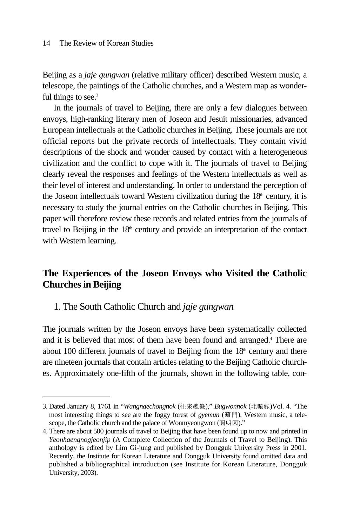Beijing as a *jaje gungwan* (relative military officer) described Western music, a telescope, the paintings of the Catholic churches, and a Western map as wonderful things to see.<sup>3</sup>

In the journals of travel to Beijing, there are only a few dialogues between envoys, high-ranking literary men of Joseon and Jesuit missionaries, advanced European intellectuals at the Catholic churches in Beijing. These journals are not official reports but the private records of intellectuals. They contain vivid descriptions of the shock and wonder caused by contact with a heterogeneous civilization and the conflict to cope with it. The journals of travel to Beijing clearly reveal the responses and feelings of the Western intellectuals as well as their level of interest and understanding. In order to understand the perception of the Joseon intellectuals toward Western civilization during the  $18<sup>th</sup>$  century, it is necessary to study the journal entries on the Catholic churches in Beijing. This paper will therefore review these records and related entries from the journals of travel to Beijing in the  $18<sup>th</sup>$  century and provide an interpretation of the contact with Western learning.

## **The Experiences of the Joseon Envoys who Visited the Catholic Churches in Beijing**

1. The South Catholic Church and *jaje gungwan*

The journals written by the Joseon envoys have been systematically collected and it is believed that most of them have been found and arranged.4 There are about 100 different journals of travel to Beijing from the  $18<sup>th</sup>$  century and there are nineteen journals that contain articles relating to the Beijing Catholic churches. Approximately one-fifth of the journals, shown in the following table, con-

<sup>3.</sup> Dated January 8, 1761 in "*Wangnaechongnok* (往來總錄)," *Bugwonnok* (北轅錄)Vol. 4. "The most interesting things to see are the foggy forest of *gyemun* (薊門), Western music, a telescope, the Catholic church and the palace of Wonmyeongwon (圓明園)."

<sup>4.</sup> There are about 500 journals of travel to Beijing that have been found up to now and printed in *Yeonhaengnogjeonjip* (A Complete Collection of the Journals of Travel to Beijing). This anthology is edited by Lim Gi-jung and published by Dongguk University Press in 2001. Recently, the Institute for Korean Literature and Dongguk University found omitted data and published a bibliographical introduction (see Institute for Korean Literature, Dongguk University, 2003).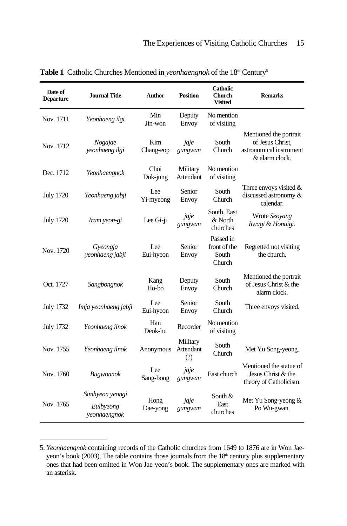| Date of<br><b>Departure</b> | <b>Journal Title</b>                         | <b>Author</b>              | <b>Position</b>              | <b>Catholic</b><br><b>Church</b><br><b>Visited</b> | <b>Remarks</b>                                                                          |
|-----------------------------|----------------------------------------------|----------------------------|------------------------------|----------------------------------------------------|-----------------------------------------------------------------------------------------|
| Nov. 1711                   | Yeonhaeng ilgi                               | Min<br>Jin-won             | Deputy<br>Envoy              | No mention<br>of visiting                          |                                                                                         |
| Nov. 1712                   | Nogajae<br>yeonhaeng ilgi                    | Kim<br>Chang-eop           | jaje<br>gungwan              | South<br>Church                                    | Mentioned the portrait<br>of Jesus Christ,<br>astronomical instrument<br>& alarm clock. |
| Dec. 1712                   | Yeonhaengnok                                 | Choi<br>Duk-jung           | Military<br>Attendant        | No mention<br>of visiting                          |                                                                                         |
| <b>July 1720</b>            | Yeonhaeng jabji                              | Lee<br>Yi-myeong           | Senior<br>Envoy              | South<br>Church                                    | Three envoys visited $&$<br>discussed astronomy &<br>calendar.                          |
| <b>July 1720</b>            | Iram yeon-gi                                 | Lee Gi-ji                  | jaje<br>gungwan              | South, East<br>& North<br>churches                 | Wrote Seoyang<br>hwagi & Honuigi.                                                       |
| Nov. 1720                   | Gyeongja<br>yeonhaeng jabji                  | Lee<br>Eui-hyeon           | Senior<br>Envoy              | Passed in<br>front of the<br>South<br>Church       | Regretted not visiting<br>the church.                                                   |
| Oct. 1727                   | Sangbongnok                                  | Kang<br>H <sub>o</sub> -bo | Deputy<br>Envoy              | South<br>Church                                    | Mentioned the portrait<br>of Jesus Christ & the<br>alarm clock.                         |
| <b>July 1732</b>            | Imja yeonhaeng jabji                         | Lee<br>Eui-hyeon           | Senior<br>Envoy              | South<br>Church                                    | Three envoys visited.                                                                   |
| <b>July 1732</b>            | Yeonhaeng ilnok                              | Han<br>Deok-hu             | Recorder                     | No mention<br>of visiting                          |                                                                                         |
| Nov. 1755                   | Yeonhaeng ilnok                              | Anonymous                  | Military<br>Attendant<br>(?) | South<br>Church                                    | Met Yu Song-yeong.                                                                      |
| Nov. 1760                   | <b>Bugwonnok</b>                             | Lee<br>Sang-bong           | jaje<br>gungwan              | East church                                        | Mentioned the statue of<br>Jesus Christ & the<br>theory of Catholicism.                 |
| Nov. 1765                   | Simhyeon yeongi<br>Eulbyeong<br>yeonhaengnok | Hong<br>Dae-yong           | jaje<br>gungwan              | South &<br>East<br>churches                        | Met Yu Song-yeong &<br>Po Wu-gwan.                                                      |

**Table 1** Catholic Churches Mentioned in *yeonhaengnok* of the 18<sup>th</sup> Century<sup>5</sup>

<sup>5.</sup> *Yeonhaengnok* containing records of the Catholic churches from 1649 to 1876 are in Won Jaeyeon's book (2003). The table contains those journals from the  $18<sup>th</sup>$  century plus supplementary ones that had been omitted in Won Jae-yeon's book. The supplementary ones are marked with an asterisk.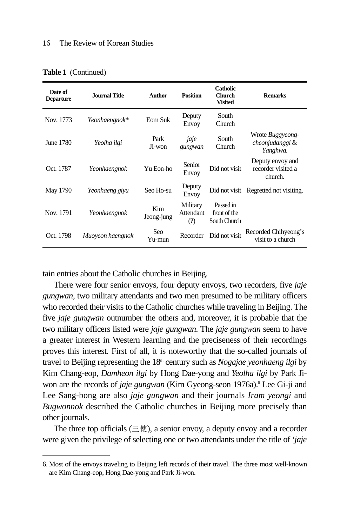| Date of<br><b>Departure</b> | Journal Title    | <b>Author</b>     | <b>Position</b>                     | <b>Catholic</b><br><b>Church</b><br><b>Visited</b> | <b>Remarks</b>                                    |
|-----------------------------|------------------|-------------------|-------------------------------------|----------------------------------------------------|---------------------------------------------------|
| Nov. 1773                   | Yeonhaengnok*    | Eom Suk           | Deputy<br>Envoy                     | South<br>Church                                    |                                                   |
| June 1780                   | Yeolha ilgi      | Park<br>Ji-won    | jaje<br>gungwan                     | South<br>Church                                    | Wrote Buggyeong-<br>cheonjudanggi &<br>Yanghwa.   |
| Oct. 1787                   | Yeonhaengnok     | Yu Eon-ho         | Senior<br>Envoy                     | Did not visit                                      | Deputy envoy and<br>recorder visited a<br>church. |
| May 1790                    | Yeonhaeng giyu   | Seo Ho-su         | Deputy<br>Envoy                     | Did not visit                                      | Regretted not visiting.                           |
| Nov. 1791                   | Yeonhaengnok     | Kim<br>Jeong-jung | Military<br><b>Attendant</b><br>(?) | Passed in<br>front of the<br>South Church          |                                                   |
| Oct. 1798                   | Muoyeon haengnok | Seo<br>Yu-mun     | Recorder                            | Did not visit                                      | Recorded Chihyeong's<br>visit to a church         |

**Table 1** (Continued)

tain entries about the Catholic churches in Beijing.

There were four senior envoys, four deputy envoys, two recorders, five *jaje gungwan,* two military attendants and two men presumed to be military officers who recorded their visits to the Catholic churches while traveling in Beijing. The five *jaje gungwan* outnumber the others and, moreover, it is probable that the two military officers listed were *jaje gungwan*. The *jaje gungwan* seem to have a greater interest in Western learning and the preciseness of their recordings proves this interest. First of all, it is noteworthy that the so-called journals of travel to Beijing representing the 18th century such as *Nogajae yeonhaeng ilgi* by Kim Chang-eop, *Damheon ilgi* by Hong Dae-yong and *Yeolha ilgi* by Park Jiwon are the records of *jaje gungwan* (Kim Gyeong-seon 1976a).<sup>6</sup> Lee Gi-ji and Lee Sang-bong are also *jaje gungwan* and their journals *Iram yeongi* and *Bugwonnok* described the Catholic churches in Beijing more precisely than other journals.

The three top officials ( $\equiv \circledast$ ), a senior envoy, a deputy envoy and a recorder were given the privilege of selecting one or two attendants under the title of *'jaje*

<sup>6.</sup> Most of the envoys traveling to Beijing left records of their travel. The three most well-known are Kim Chang-eop, Hong Dae-yong and Park Ji-won.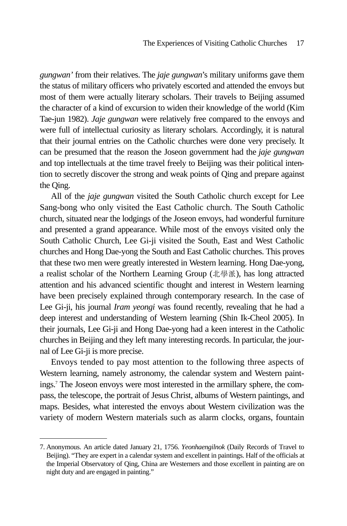*gungwan'* from their relatives. The *jaje gungwan*'s military uniforms gave them the status of military officers who privately escorted and attended the envoys but most of them were actually literary scholars. Their travels to Beijing assumed the character of a kind of excursion to widen their knowledge of the world (Kim Tae-jun 1982). *Jaje gungwan* were relatively free compared to the envoys and were full of intellectual curiosity as literary scholars. Accordingly, it is natural that their journal entries on the Catholic churches were done very precisely. It can be presumed that the reason the Joseon government had the *jaje gungwan* and top intellectuals at the time travel freely to Beijing was their political intention to secretly discover the strong and weak points of Qing and prepare against the Qing.

All of the *jaje gungwan* visited the South Catholic church except for Lee Sang-bong who only visited the East Catholic church. The South Catholic church, situated near the lodgings of the Joseon envoys, had wonderful furniture and presented a grand appearance. While most of the envoys visited only the South Catholic Church, Lee Gi-ji visited the South, East and West Catholic churches and Hong Dae-yong the South and East Catholic churches. This proves that these two men were greatly interested in Western learning. Hong Dae-yong, a realist scholar of the Northern Learning Group (北學派), has long attracted attention and his advanced scientific thought and interest in Western learning have been precisely explained through contemporary research. In the case of Lee Gi-ji, his journal *Iram yeongi* was found recently, revealing that he had a deep interest and understanding of Western learning (Shin Ik-Cheol 2005). In their journals, Lee Gi-ji and Hong Dae-yong had a keen interest in the Catholic churches in Beijing and they left many interesting records. In particular, the journal of Lee Gi-ji is more precise.

Envoys tended to pay most attention to the following three aspects of Western learning, namely astronomy, the calendar system and Western paintings.7 The Joseon envoys were most interested in the armillary sphere, the compass, the telescope, the portrait of Jesus Christ, albums of Western paintings, and maps. Besides, what interested the envoys about Western civilization was the variety of modern Western materials such as alarm clocks, organs, fountain

<sup>7.</sup> Anonymous. An article dated January 21, 1756. *Yeonhaengilnok* (Daily Records of Travel to Beijing). "They are expert in a calendar system and excellent in paintings. Half of the officials at the Imperial Observatory of Qing, China are Westerners and those excellent in painting are on night duty and are engaged in painting."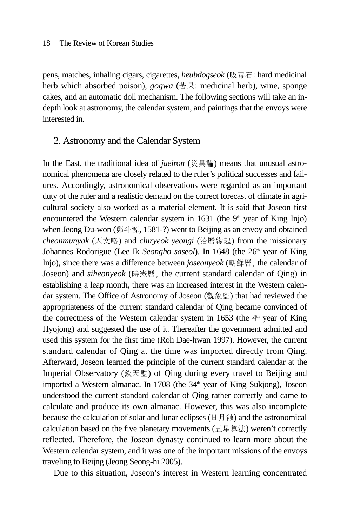pens, matches, inhaling cigars, cigarettes, *heubdogseok* (吸毒石: hard medicinal herb which absorbed poison), *gogwa* (苦果: medicinal herb), wine, sponge cakes, and an automatic doll mechanism. The following sections will take an indepth look at astronomy, the calendar system, and paintings that the envoys were interested in.

### 2. Astronomy and the Calendar System

In the East, the traditional idea of *jaeiron* (災異論) means that unusual astronomical phenomena are closely related to the ruler's political successes and failures. Accordingly, astronomical observations were regarded as an important duty of the ruler and a realistic demand on the correct forecast of climate in agricultural society also worked as a material element. It is said that Joseon first encountered the Western calendar system in 1631 (the  $9<sup>th</sup>$  year of King Injo) when Jeong Du-won (鄭斗源, 1581-?) went to Beijing as an envoy and obtained *cheonmunyak* (天文略) and *chiryeok yeongi* (治曆緣起) from the missionary Johannes Rodorigue (Lee Ik *Seongho saseol*). In 1648 (the 26<sup>th</sup> year of King Injo), since there was a difference between *joseonyeok* (朝鮮曆, the calendar of Joseon) and *siheonyeok* (時憲曆, the current standard calendar of Qing) in establishing a leap month, there was an increased interest in the Western calendar system. The Office of Astronomy of Joseon (觀象監) that had reviewed the appropriateness of the current standard calendar of Qing became convinced of the correctness of the Western calendar system in 1653 (the  $4<sup>th</sup>$  year of King Hyojong) and suggested the use of it. Thereafter the government admitted and used this system for the first time (Roh Dae-hwan 1997). However, the current standard calendar of Qing at the time was imported directly from Qing. Afterward, Joseon learned the principle of the current standard calendar at the Imperial Observatory (欽天監) of Qing during every travel to Beijing and imported a Western almanac. In 1708 (the 34<sup>th</sup> year of King Sukjong), Joseon understood the current standard calendar of Qing rather correctly and came to calculate and produce its own almanac. However, this was also incomplete because the calculation of solar and lunar eclipses (日月蝕) and the astronomical calculation based on the five planetary movements (五星算法) weren't correctly reflected. Therefore, the Joseon dynasty continued to learn more about the Western calendar system, and it was one of the important missions of the envoys traveling to Beijng (Jeong Seong-hi 2005).

Due to this situation, Joseon's interest in Western learning concentrated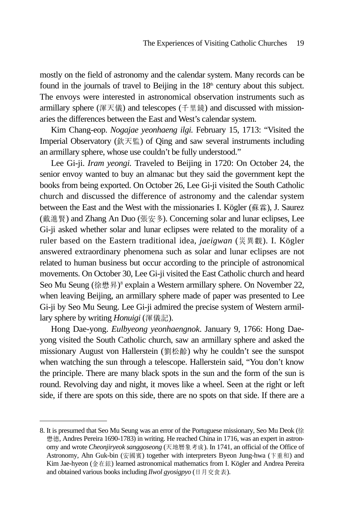mostly on the field of astronomy and the calendar system. Many records can be found in the journals of travel to Beijing in the  $18<sup>th</sup>$  century about this subject. The envoys were interested in astronomical observation instruments such as armillary sphere (渾天儀) and telescopes (千里鏡) and discussed with missionaries the differences between the East and West's calendar system.

Kim Chang-eop. *Nogajae yeonhaeng ilgi.* February 15, 1713: "Visited the Imperial Observatory (欽天監) of Qing and saw several instruments including an armillary sphere, whose use couldn't be fully understood."

Lee Gi-ji. *Iram yeongi.* Traveled to Beijing in 1720: On October 24, the senior envoy wanted to buy an almanac but they said the government kept the books from being exported. On October 26, Lee Gi-ji visited the South Catholic church and discussed the difference of astronomy and the calendar system between the East and the West with the missionaries I. Kögler (蘇霖), J. Saurez (戴進賢) and Zhang An Duo (張安多). Concerning solar and lunar eclipses, Lee Gi-ji asked whether solar and lunar eclipses were related to the morality of a ruler based on the Eastern traditional idea, *jaeigwan* (災異觀). I. Kögler answered extraordinary phenomena such as solar and lunar eclipses are not related to human business but occur according to the principle of astronomical movements. On October 30, Lee Gi-ji visited the East Catholic church and heard Seo Mu Seung (徐懋昇)<sup>8</sup> explain a Western armillary sphere. On November 22, when leaving Beijing, an armillary sphere made of paper was presented to Lee Gi-ji by Seo Mu Seung. Lee Gi-ji admired the precise system of Western armillary sphere by writing *Honuigi* (渾儀記).

Hong Dae-yong. *Eulbyeong yeonhaengnok*. January 9, 1766: Hong Daeyong visited the South Catholic church, saw an armillary sphere and asked the missionary August von Hallerstein (劉松齡) why he couldn't see the sunspot when watching the sun through a telescope. Hallerstein said, "You don't know the principle. There are many black spots in the sun and the form of the sun is round. Revolving day and night, it moves like a wheel. Seen at the right or left side, if there are spots on this side, there are no spots on that side. If there are a

<sup>8.</sup> It is presumed that Seo Mu Seung was an error of the Portuguese missionary, Seo Mu Deok (徐 懋德, Andres Pereira 1690-1783) in writing. He reached China in 1716, was an expert in astronomy and wrote *Cheonjiryeok sanggoseong* (天地�象考成). In 1741, an official of the Office of Astronomy, Ahn Guk-bin (安國賓) together with interpreters Byeon Jung-hwa (卞重和) and Kim Jae-hyeon (�在鉉) learned astronomical mathematics from I. Kögler and Andrea Pereira and obtained various books including *Ilwol gyosigpyo* (日月交食表).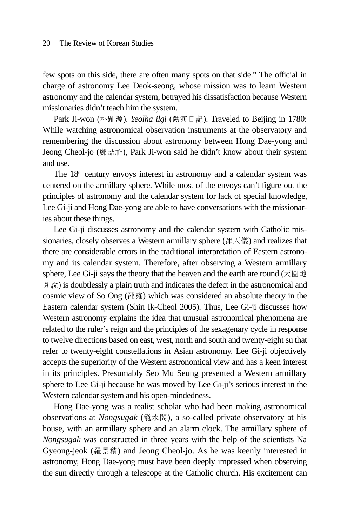few spots on this side, there are often many spots on that side." The official in charge of astronomy Lee Deok-seong, whose mission was to learn Western astronomy and the calendar system, betrayed his dissatisfaction because Western missionaries didn't teach him the system.

Park Ji-won (朴趾源). *Yeolha ilgi* (熱河日記). Traveled to Beijing in 1780: While watching astronomical observation instruments at the observatory and remembering the discussion about astronomy between Hong Dae-yong and Jeong Cheol-jo (鄭喆祚), Park Ji-won said he didn't know about their system and use.

The  $18<sup>th</sup>$  century envoys interest in astronomy and a calendar system was centered on the armillary sphere. While most of the envoys can't figure out the principles of astronomy and the calendar system for lack of special knowledge, Lee Gi-ji and Hong Dae-yong are able to have conversations with the missionaries about these things.

Lee Gi-ji discusses astronomy and the calendar system with Catholic missionaries, closely observes a Western armillary sphere (渾天儀) and realizes that there are considerable errors in the traditional interpretation of Eastern astronomy and its calendar system. Therefore, after observing a Western armillary sphere, Lee Gi-ji says the theory that the heaven and the earth are round ( $\overline{\mathcal{F}}$   $\overline{\mathbb{B}}$   $\overline{\mathbb{H}}$ 圓說) is doubtlessly a plain truth and indicates the defect in the astronomical and cosmic view of So Ong (邵雍) which was considered an absolute theory in the Eastern calendar system (Shin Ik-Cheol 2005). Thus, Lee Gi-ji discusses how Western astronomy explains the idea that unusual astronomical phenomena are related to the ruler's reign and the principles of the sexagenary cycle in response to twelve directions based on east, west, north and south and twenty-eight su that refer to twenty-eight constellations in Asian astronomy. Lee Gi-ji objectively accepts the superiority of the Western astronomical view and has a keen interest in its principles. Presumably Seo Mu Seung presented a Western armillary sphere to Lee Gi-ji because he was moved by Lee Gi-ji's serious interest in the Western calendar system and his open-mindedness.

Hong Dae-yong was a realist scholar who had been making astronomical observations at *Nongsugak* (籠水閣), a so-called private observatory at his house, with an armillary sphere and an alarm clock. The armillary sphere of *Nongsugak* was constructed in three years with the help of the scientists Na Gyeong-jeok (�景積) and Jeong Cheol-jo. As he was keenly interested in astronomy, Hong Dae-yong must have been deeply impressed when observing the sun directly through a telescope at the Catholic church. His excitement can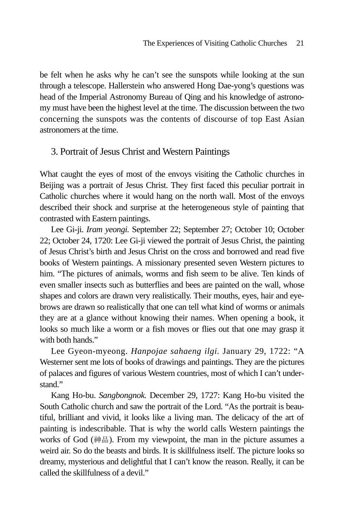be felt when he asks why he can't see the sunspots while looking at the sun through a telescope. Hallerstein who answered Hong Dae-yong's questions was head of the Imperial Astronomy Bureau of Qing and his knowledge of astronomy must have been the highest level at the time. The discussion between the two concerning the sunspots was the contents of discourse of top East Asian astronomers at the time.

### 3. Portrait of Jesus Christ and Western Paintings

What caught the eyes of most of the envoys visiting the Catholic churches in Beijing was a portrait of Jesus Christ. They first faced this peculiar portrait in Catholic churches where it would hang on the north wall. Most of the envoys described their shock and surprise at the heterogeneous style of painting that contrasted with Eastern paintings.

Lee Gi-ji. *Iram yeongi.* September 22; September 27; October 10; October 22; October 24, 1720: Lee Gi-ji viewed the portrait of Jesus Christ, the painting of Jesus Christ's birth and Jesus Christ on the cross and borrowed and read five books of Western paintings. A missionary presented seven Western pictures to him. "The pictures of animals, worms and fish seem to be alive. Ten kinds of even smaller insects such as butterflies and bees are painted on the wall, whose shapes and colors are drawn very realistically. Their mouths, eyes, hair and eyebrows are drawn so realistically that one can tell what kind of worms or animals they are at a glance without knowing their names. When opening a book, it looks so much like a worm or a fish moves or flies out that one may grasp it with both hands."

Lee Gyeon-myeong. *Hanpojae sahaeng ilgi.* January 29, 1722: "A Westerner sent me lots of books of drawings and paintings. They are the pictures of palaces and figures of various Western countries, most of which I can't understand."

Kang Ho-bu. *Sangbongnok.* December 29, 1727: Kang Ho-bu visited the South Catholic church and saw the portrait of the Lord. "As the portrait is beautiful, brilliant and vivid, it looks like a living man. The delicacy of the art of painting is indescribable. That is why the world calls Western paintings the works of God (神品). From my viewpoint, the man in the picture assumes a weird air. So do the beasts and birds. It is skillfulness itself. The picture looks so dreamy, mysterious and delightful that I can't know the reason. Really, it can be called the skillfulness of a devil."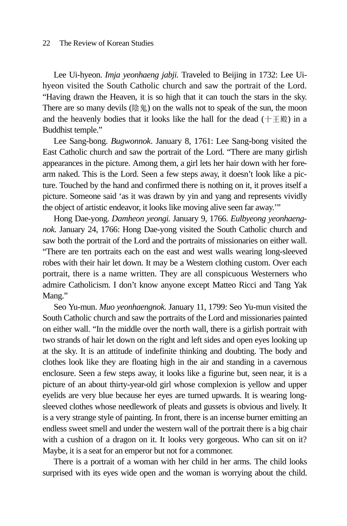Lee Ui-hyeon. *Imja yeonhaeng jabji.* Traveled to Beijing in 1732: Lee Uihyeon visited the South Catholic church and saw the portrait of the Lord. "Having drawn the Heaven, it is so high that it can touch the stars in the sky. There are so many devils (陰鬼) on the walls not to speak of the sun, the moon and the heavenly bodies that it looks like the hall for the dead  $(+\pm \text{g})$  in a Buddhist temple."

Lee Sang-bong. *Bugwonnok*. January 8, 1761: Lee Sang-bong visited the East Catholic church and saw the portrait of the Lord. "There are many girlish appearances in the picture. Among them, a girl lets her hair down with her forearm naked. This is the Lord. Seen a few steps away, it doesn't look like a picture. Touched by the hand and confirmed there is nothing on it, it proves itself a picture. Someone said 'as it was drawn by yin and yang and represents vividly the object of artistic endeavor, it looks like moving alive seen far away.'"

Hong Dae-yong. *Damheon yeongi.* January 9, 1766. *Eulbyeong yeonhaengnok.* January 24, 1766: Hong Dae-yong visited the South Catholic church and saw both the portrait of the Lord and the portraits of missionaries on either wall. "There are ten portraits each on the east and west walls wearing long-sleeved robes with their hair let down. It may be a Western clothing custom. Over each portrait, there is a name written. They are all conspicuous Westerners who admire Catholicism. I don't know anyone except Matteo Ricci and Tang Yak Mang."

Seo Yu-mun. *Muo yeonhaengnok.* January 11, 1799: Seo Yu-mun visited the South Catholic church and saw the portraits of the Lord and missionaries painted on either wall. "In the middle over the north wall, there is a girlish portrait with two strands of hair let down on the right and left sides and open eyes looking up at the sky. It is an attitude of indefinite thinking and doubting. The body and clothes look like they are floating high in the air and standing in a cavernous enclosure. Seen a few steps away, it looks like a figurine but, seen near, it is a picture of an about thirty-year-old girl whose complexion is yellow and upper eyelids are very blue because her eyes are turned upwards. It is wearing longsleeved clothes whose needlework of pleats and gussets is obvious and lively. It is a very strange style of painting. In front, there is an incense burner emitting an endless sweet smell and under the western wall of the portrait there is a big chair with a cushion of a dragon on it. It looks very gorgeous. Who can sit on it? Maybe, it is a seat for an emperor but not for a commoner.

There is a portrait of a woman with her child in her arms. The child looks surprised with its eyes wide open and the woman is worrying about the child.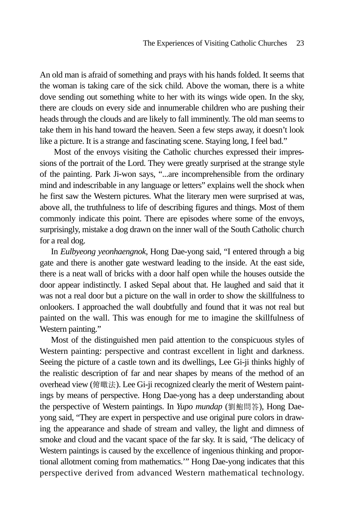An old man is afraid of something and prays with his hands folded. It seems that the woman is taking care of the sick child. Above the woman, there is a white dove sending out something white to her with its wings wide open. In the sky, there are clouds on every side and innumerable children who are pushing their heads through the clouds and are likely to fall imminently. The old man seems to take them in his hand toward the heaven. Seen a few steps away, it doesn't look like a picture. It is a strange and fascinating scene. Staying long, I feel bad."

Most of the envoys visiting the Catholic churches expressed their impressions of the portrait of the Lord. They were greatly surprised at the strange style of the painting. Park Ji-won says, "...are incomprehensible from the ordinary mind and indescribable in any language or letters" explains well the shock when he first saw the Western pictures. What the literary men were surprised at was, above all, the truthfulness to life of describing figures and things. Most of them commonly indicate this point. There are episodes where some of the envoys, surprisingly, mistake a dog drawn on the inner wall of the South Catholic church for a real dog.

In *Eulbyeong yeonhaengnok,* Hong Dae-yong said, "I entered through a big gate and there is another gate westward leading to the inside. At the east side, there is a neat wall of bricks with a door half open while the houses outside the door appear indistinctly. I asked Sepal about that. He laughed and said that it was not a real door but a picture on the wall in order to show the skillfulness to onlookers. I approached the wall doubtfully and found that it was not real but painted on the wall. This was enough for me to imagine the skillfulness of Western painting."

Most of the distinguished men paid attention to the conspicuous styles of Western painting: perspective and contrast excellent in light and darkness. Seeing the picture of a castle town and its dwellings, Lee Gi-ji thinks highly of the realistic description of far and near shapes by means of the method of an overhead view (俯瞰法). Lee Gi-ji recognized clearly the merit of Western paintings by means of perspective. Hong Dae-yong has a deep understanding about the perspective of Western paintings. In *Yupo mundap* (劉鮑問答), Hong Daeyong said, "They are expert in perspective and use original pure colors in drawing the appearance and shade of stream and valley, the light and dimness of smoke and cloud and the vacant space of the far sky. It is said, 'The delicacy of Western paintings is caused by the excellence of ingenious thinking and proportional allotment coming from mathematics.'" Hong Dae-yong indicates that this perspective derived from advanced Western mathematical technology.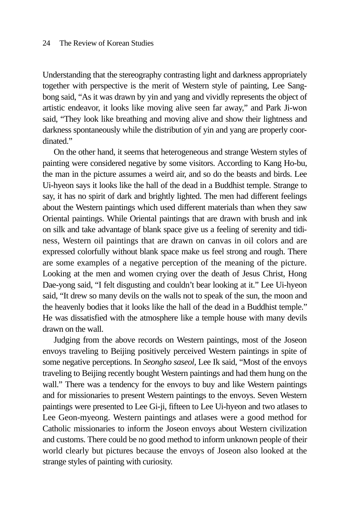Understanding that the stereography contrasting light and darkness appropriately together with perspective is the merit of Western style of painting, Lee Sangbong said, "As it was drawn by yin and yang and vividly represents the object of artistic endeavor, it looks like moving alive seen far away," and Park Ji-won said, "They look like breathing and moving alive and show their lightness and darkness spontaneously while the distribution of yin and yang are properly coordinated."

On the other hand, it seems that heterogeneous and strange Western styles of painting were considered negative by some visitors. According to Kang Ho-bu, the man in the picture assumes a weird air, and so do the beasts and birds. Lee Ui-hyeon says it looks like the hall of the dead in a Buddhist temple. Strange to say, it has no spirit of dark and brightly lighted. The men had different feelings about the Western paintings which used different materials than when they saw Oriental paintings. While Oriental paintings that are drawn with brush and ink on silk and take advantage of blank space give us a feeling of serenity and tidiness, Western oil paintings that are drawn on canvas in oil colors and are expressed colorfully without blank space make us feel strong and rough. There are some examples of a negative perception of the meaning of the picture. Looking at the men and women crying over the death of Jesus Christ, Hong Dae-yong said, "I felt disgusting and couldn't bear looking at it." Lee Ui-hyeon said, "It drew so many devils on the walls not to speak of the sun, the moon and the heavenly bodies that it looks like the hall of the dead in a Buddhist temple." He was dissatisfied with the atmosphere like a temple house with many devils drawn on the wall.

Judging from the above records on Western paintings, most of the Joseon envoys traveling to Beijing positively perceived Western paintings in spite of some negative perceptions. In *Seongho saseol,* Lee Ik said, "Most of the envoys traveling to Beijing recently bought Western paintings and had them hung on the wall." There was a tendency for the envoys to buy and like Western paintings and for missionaries to present Western paintings to the envoys. Seven Western paintings were presented to Lee Gi-ji, fifteen to Lee Ui-hyeon and two atlases to Lee Geon-myeong. Western paintings and atlases were a good method for Catholic missionaries to inform the Joseon envoys about Western civilization and customs. There could be no good method to inform unknown people of their world clearly but pictures because the envoys of Joseon also looked at the strange styles of painting with curiosity.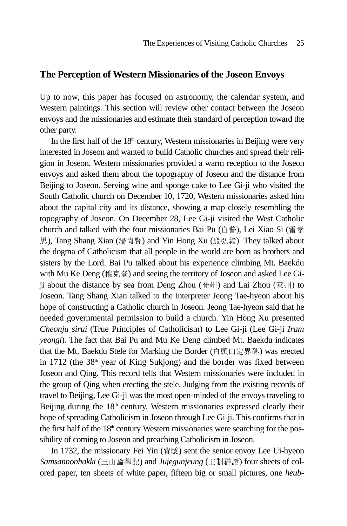### **The Perception of Western Missionaries of the Joseon Envoys**

Up to now, this paper has focused on astronomy, the calendar system, and Western paintings. This section will review other contact between the Joseon envoys and the missionaries and estimate their standard of perception toward the other party.

In the first half of the  $18<sup>th</sup>$  century, Western missionaries in Beijing were very interested in Joseon and wanted to build Catholic churches and spread their religion in Joseon. Western missionaries provided a warm reception to the Joseon envoys and asked them about the topography of Joseon and the distance from Beijing to Joseon. Serving wine and sponge cake to Lee Gi-ji who visited the South Catholic church on December 10, 1720, Western missionaries asked him about the capital city and its distance, showing a map closely resembling the topography of Joseon. On December 28, Lee Gi-ji visited the West Catholic church and talked with the four missionaries Bai Pu (白普), Lei Xiao Si (雷孝 思), Tang Shang Xian (湯尙賢) and Yin Hong Xu (殷弘緖). They talked about the dogma of Catholicism that all people in the world are born as brothers and sisters by the Lord. Bai Pu talked about his experience climbing Mt. Baekdu with Mu Ke Deng (穆克登) and seeing the territory of Joseon and asked Lee Giji about the distance by sea from Deng Zhou (登州) and Lai Zhou (萊州) to Joseon. Tang Shang Xian talked to the interpreter Jeong Tae-hyeon about his hope of constructing a Catholic church in Joseon. Jeong Tae-hyeon said that he needed governmental permission to build a church. Yin Hong Xu presented *Cheonju sirui* (True Principles of Catholicism) to Lee Gi-ji (Lee Gi-ji *Iram yeongi*). The fact that Bai Pu and Mu Ke Deng climbed Mt. Baekdu indicates that the Mt. Baekdu Stele for Marking the Border (白頭山定界碑) was erected in 1712 (the  $38<sup>th</sup>$  year of King Sukjong) and the border was fixed between Joseon and Qing. This record tells that Western missionaries were included in the group of Qing when erecting the stele. Judging from the existing records of travel to Beijing, Lee Gi-ji was the most open-minded of the envoys traveling to Beijing during the  $18<sup>th</sup>$  century. Western missionaries expressed clearly their hope of spreading Catholicism in Joseon through Lee Gi-ji. This confirms that in the first half of the 18<sup>th</sup> century Western missionaries were searching for the possibility of coming to Joseon and preaching Catholicism in Joseon.

In 1732, the missionary Fei Yin (費隱) sent the senior envoy Lee Ui-hyeon *Samsannonhakki* (三山�學記) and *Jujegunjeung* (主制群證) four sheets of colored paper, ten sheets of white paper, fifteen big or small pictures, one *heub-*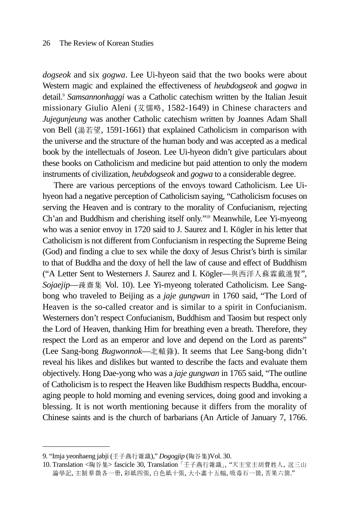*dogseok* and six *gogwa*. Lee Ui-hyeon said that the two books were about Western magic and explained the effectiveness of *heubdogseok* and *gogwa* in detail.9 *Samsannonhaggi* was a Catholic catechism written by the Italian Jesuit missionary Giulio Aleni (艾儒略, 1582-1649) in Chinese characters and *Jujegunjeung* was another Catholic catechism written by Joannes Adam Shall von Bell (湯若望, 1591-1661) that explained Catholicism in comparison with the universe and the structure of the human body and was accepted as a medical book by the intellectuals of Joseon. Lee Ui-hyeon didn't give particulars about these books on Catholicism and medicine but paid attention to only the modern instruments of civilization, *heubdogseok* and *gogwa* to a considerable degree.

There are various perceptions of the envoys toward Catholicism. Lee Uihyeon had a negative perception of Catholicism saying, "Catholicism focuses on serving the Heaven and is contrary to the morality of Confucianism, rejecting Ch'an and Buddhism and cherishing itself only."10 Meanwhile, Lee Yi-myeong who was a senior envoy in 1720 said to J. Saurez and I. Kögler in his letter that Catholicism is not different from Confucianism in respecting the Supreme Being (God) and finding a clue to sex while the doxy of Jesus Christ's birth is similar to that of Buddha and the doxy of hell the law of cause and effect of Buddhism ("A Letter Sent to Westerners J. Saurez and I. Kögler—與西洋人蘇霖戴進賢", *Sojaejip*—疎齋集 Vol. 10). Lee Yi-myeong tolerated Catholicism. Lee Sangbong who traveled to Beijing as a *jaje gungwan* in 1760 said, "The Lord of Heaven is the so-called creator and is similar to a spirit in Confucianism. Westerners don't respect Confucianism, Buddhism and Taosim but respect only the Lord of Heaven, thanking Him for breathing even a breath. Therefore, they respect the Lord as an emperor and love and depend on the Lord as parents" (Lee Sang-bong *Bugwonnok*—北轅錄). It seems that Lee Sang-bong didn't reveal his likes and dislikes but wanted to describe the facts and evaluate them objectively. Hong Dae-yong who was a *jaje gungwan* in 1765 said, "The outline of Catholicism is to respect the Heaven like Buddhism respects Buddha, encouraging people to hold morning and evening services, doing good and invoking a blessing. It is not worth mentioning because it differs from the morality of Chinese saints and is the church of barbarians (An Article of January 7, 1766.

<sup>9. &</sup>quot;Imja yeonhaeng jabji (壬子燕行雜識)," *Dogogjip* (陶谷集)Vol. 30.

<sup>10.</sup> Translation <陶谷集> fascicle 30, Translation 「壬子燕行雜識」, "天主堂主胡費姓人, 送三山 論學記, 主制 羣徵各一册, 彩紙四張, 白色紙十張, 大小畵十五幅, 吸毒石一箇, 苦果六箇."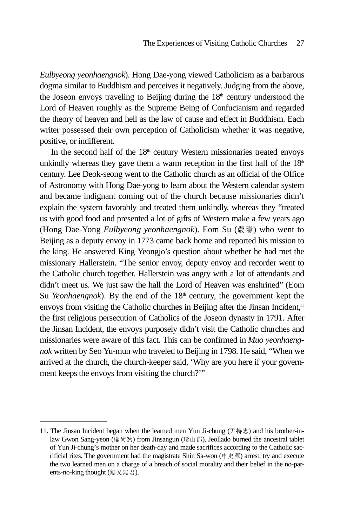*Eulbyeong yeonhaengnok*). Hong Dae-yong viewed Catholicism as a barbarous dogma similar to Buddhism and perceives it negatively. Judging from the above, the Joseon envoys traveling to Beijing during the  $18<sup>th</sup>$  century understood the Lord of Heaven roughly as the Supreme Being of Confucianism and regarded the theory of heaven and hell as the law of cause and effect in Buddhism. Each writer possessed their own perception of Catholicism whether it was negative, positive, or indifferent.

In the second half of the  $18<sup>th</sup>$  century Western missionaries treated envoys unkindly whereas they gave them a warm reception in the first half of the  $18<sup>th</sup>$ century. Lee Deok-seong went to the Catholic church as an official of the Office of Astronomy with Hong Dae-yong to learn about the Western calendar system and became indignant coming out of the church because missionaries didn't explain the system favorably and treated them unkindly, whereas they "treated us with good food and presented a lot of gifts of Western make a few years ago (Hong Dae-Yong *Eulbyeong yeonhaengnok*). Eom Su (嚴璹) who went to Beijing as a deputy envoy in 1773 came back home and reported his mission to the king. He answered King Yeongjo's question about whether he had met the missionary Hallerstein. "The senior envoy, deputy envoy and recorder went to the Catholic church together. Hallerstein was angry with a lot of attendants and didn't meet us. We just saw the hall the Lord of Heaven was enshrined" (Eom Su *Yeonhaengnok*). By the end of the  $18<sup>th</sup>$  century, the government kept the envoys from visiting the Catholic churches in Beijing after the Jinsan Incident,<sup>11</sup> the first religious persecution of Catholics of the Joseon dynasty in 1791. After the Jinsan Incident, the envoys purposely didn't visit the Catholic churches and missionaries were aware of this fact. This can be confirmed in *Muo yeonhaengnok* written by Seo Yu-mun who traveled to Beijing in 1798. He said, "When we arrived at the church, the church-keeper said, 'Why are you here if your government keeps the envoys from visiting the church?'"

<sup>11.</sup> The Jinsan Incident began when the learned men Yun Ji-chung (尹持忠) and his brother-inlaw Gwon Sang-yeon (權尙然) from Jinsangun (珍山郡), Jeollado burned the ancestral tablet of Yun Ji-chung's mother on her death-day and made sacrifices according to the Catholic sacrificial rites. The government had the magistrate Shin Sa-won (申史源) arrest, try and execute the two learned men on a charge of a breach of social morality and their belief in the no-parents-no-king thought (無父無君).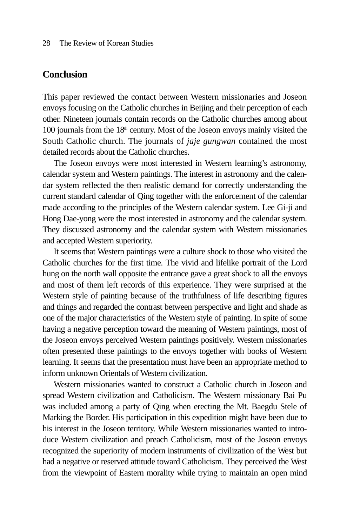### **Conclusion**

This paper reviewed the contact between Western missionaries and Joseon envoys focusing on the Catholic churches in Beijing and their perception of each other. Nineteen journals contain records on the Catholic churches among about 100 journals from the  $18<sup>th</sup>$  century. Most of the Joseon envoys mainly visited the South Catholic church. The journals of *jaje gungwan* contained the most detailed records about the Catholic churches.

The Joseon envoys were most interested in Western learning's astronomy, calendar system and Western paintings. The interest in astronomy and the calendar system reflected the then realistic demand for correctly understanding the current standard calendar of Qing together with the enforcement of the calendar made according to the principles of the Western calendar system. Lee Gi-ji and Hong Dae-yong were the most interested in astronomy and the calendar system. They discussed astronomy and the calendar system with Western missionaries and accepted Western superiority.

It seems that Western paintings were a culture shock to those who visited the Catholic churches for the first time. The vivid and lifelike portrait of the Lord hung on the north wall opposite the entrance gave a great shock to all the envoys and most of them left records of this experience. They were surprised at the Western style of painting because of the truthfulness of life describing figures and things and regarded the contrast between perspective and light and shade as one of the major characteristics of the Western style of painting. In spite of some having a negative perception toward the meaning of Western paintings, most of the Joseon envoys perceived Western paintings positively. Western missionaries often presented these paintings to the envoys together with books of Western learning. It seems that the presentation must have been an appropriate method to inform unknown Orientals of Western civilization.

Western missionaries wanted to construct a Catholic church in Joseon and spread Western civilization and Catholicism. The Western missionary Bai Pu was included among a party of Qing when erecting the Mt. Baegdu Stele of Marking the Border. His participation in this expedition might have been due to his interest in the Joseon territory. While Western missionaries wanted to introduce Western civilization and preach Catholicism, most of the Joseon envoys recognized the superiority of modern instruments of civilization of the West but had a negative or reserved attitude toward Catholicism. They perceived the West from the viewpoint of Eastern morality while trying to maintain an open mind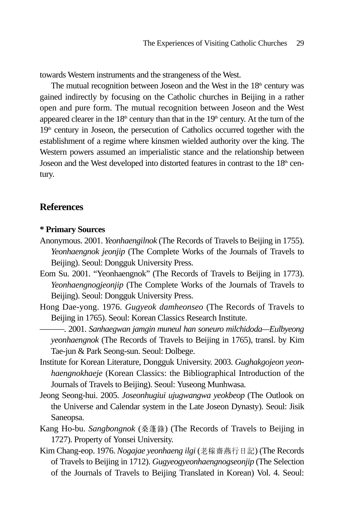towards Western instruments and the strangeness of the West.

The mutual recognition between Joseon and the West in the  $18<sup>th</sup>$  century was gained indirectly by focusing on the Catholic churches in Beijing in a rather open and pure form. The mutual recognition between Joseon and the West appeared clearer in the  $18<sup>th</sup>$  century than that in the  $19<sup>th</sup>$  century. At the turn of the  $19<sup>th</sup>$  century in Joseon, the persecution of Catholics occurred together with the establishment of a regime where kinsmen wielded authority over the king. The Western powers assumed an imperialistic stance and the relationship between Joseon and the West developed into distorted features in contrast to the  $18<sup>th</sup>$  century.

### **References**

### **\* Primary Sources**

- Anonymous. 2001. *Yeonhaengilnok* (The Records of Travels to Beijing in 1755). *Yeonhaengnok jeonjip* (The Complete Works of the Journals of Travels to Beijing). Seoul: Dongguk University Press.
- Eom Su. 2001. "Yeonhaengnok" (The Records of Travels to Beijing in 1773). *Yeonhaengnogjeonjip* (The Complete Works of the Journals of Travels to Beijing). Seoul: Dongguk University Press.
- Hong Dae-yong. 1976. *Gugyeok damheonseo* (The Records of Travels to Beijing in 1765). Seoul: Korean Classics Research Institute. \_\_\_\_\_\_. 2001. *Sanhaegwan jamgin muneul han soneuro milchidoda—Eulbyeong*

*yeonhaengnok* (The Records of Travels to Beijing in 1765), transl. by Kim Tae-jun & Park Seong-sun. Seoul: Dolbege.

- Institute for Korean Literature, Dongguk University. 2003. *Gughakgojeon yeonhaengnokhaeje* (Korean Classics: the Bibliographical Introduction of the Journals of Travels to Beijing). Seoul: Yuseong Munhwasa.
- Jeong Seong-hui. 2005. *Joseonhugiui ujugwangwa yeokbeop* (The Outlook on the Universe and Calendar system in the Late Joseon Dynasty). Seoul: Jisik Saneopsa.
- Kang Ho-bu. *Sangbongnok* (桑蓬錄) (The Records of Travels to Beijing in 1727). Property of Yonsei University.
- Kim Chang-eop. 1976. *Nogajae yeonhaeng ilgi* (�稼齋燕行日記) (The Records of Travels to Beijing in 1712). *Gugyeogyeonhaengnogseonjip* (The Selection of the Journals of Travels to Beijing Translated in Korean) Vol. 4. Seoul: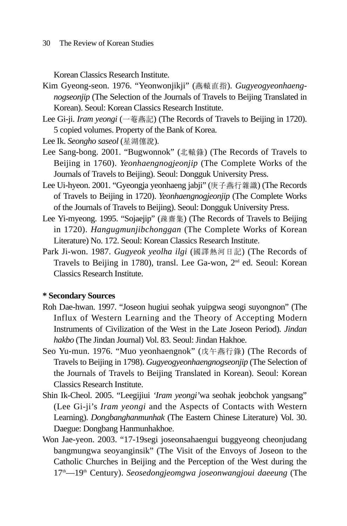Korean Classics Research Institute.

- Kim Gyeong-seon. 1976. "Yeonwonjikji" (燕轅直指). *Gugyeogyeonhaengnogseonjip* (The Selection of the Journals of Travels to Beijing Translated in Korean). Seoul: Korean Classics Research Institute.
- Lee Gi-ji. *Iram yeongi* (一菴燕記) (The Records of Travels to Beijing in 1720). 5 copied volumes. Property of the Bank of Korea.

Lee Ik. *Seongho saseol* (星湖僿說).

- Lee Sang-bong. 2001. "Bugwonnok" (北轅錄) (The Records of Travels to Beijing in 1760). *Yeonhaengnogjeonjip* (The Complete Works of the Journals of Travels to Beijing). Seoul: Dongguk University Press.
- Lee Ui-hyeon. 2001. "Gyeongja yeonhaeng jabji" (庚子燕行雜識) (The Records of Travels to Beijing in 1720). *Yeonhaengnogjeonjip* (The Complete Works of the Journals of Travels to Beijing). Seoul: Dongguk University Press.
- Lee Yi-myeong. 1995. "Sojaejip" (疎齋集) (The Records of Travels to Beijing in 1720). *Hangugmunjibchonggan* (The Complete Works of Korean Literature) No. 172. Seoul: Korean Classics Research Institute.
- Park Ji-won. 1987. *Gugyeok yeolha ilgi* (國譯熱河日記) (The Records of Travels to Beijing in 1780), transl. Lee Ga-won, 2nd ed. Seoul: Korean Classics Research Institute.

### **\* Secondary Sources**

- Roh Dae-hwan. 1997. "Joseon hugiui seohak yuipgwa seogi suyongnon" (The Influx of Western Learning and the Theory of Accepting Modern Instruments of Civilization of the West in the Late Joseon Period). *Jindan hakbo* (The Jindan Journal) Vol. 83. Seoul: Jindan Hakhoe.
- Seo Yu-mun. 1976. "Muo yeonhaengnok" (戊午燕行錄) (The Records of Travels to Beijing in 1798). *Gugyeogyeonhaengnogseonjip* (The Selection of the Journals of Travels to Beijing Translated in Korean). Seoul: Korean Classics Research Institute.
- Shin Ik-Cheol. 2005. "Leegijiui *'Iram yeongi'*wa seohak jeobchok yangsang" (Lee Gi-ji's *Iram yeongi* and the Aspects of Contacts with Western Learning). *Dongbanghanmunhak* (The Eastern Chinese Literature) Vol. 30. Daegue: Dongbang Hanmunhakhoe.
- Won Jae-yeon. 2003. "17-19segi joseonsahaengui buggyeong cheonjudang bangmungwa seoyanginsik" (The Visit of the Envoys of Joseon to the Catholic Churches in Beijing and the Perception of the West during the 17<sup>th</sup>—19<sup>th</sup> Century). *Seosedongjeomgwa joseonwangjoui daeeung* (The